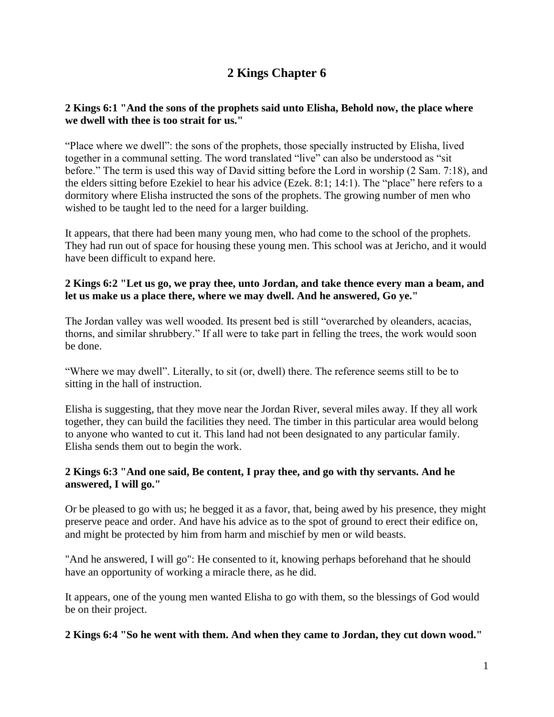# **2 Kings Chapter 6**

# **2 Kings 6:1 "And the sons of the prophets said unto Elisha, Behold now, the place where we dwell with thee is too strait for us."**

"Place where we dwell": the sons of the prophets, those specially instructed by Elisha, lived together in a communal setting. The word translated "live" can also be understood as "sit before." The term is used this way of David sitting before the Lord in worship (2 Sam. 7:18), and the elders sitting before Ezekiel to hear his advice (Ezek. 8:1; 14:1). The "place" here refers to a dormitory where Elisha instructed the sons of the prophets. The growing number of men who wished to be taught led to the need for a larger building.

It appears, that there had been many young men, who had come to the school of the prophets. They had run out of space for housing these young men. This school was at Jericho, and it would have been difficult to expand here.

#### **2 Kings 6:2 "Let us go, we pray thee, unto Jordan, and take thence every man a beam, and let us make us a place there, where we may dwell. And he answered, Go ye."**

The Jordan valley was well wooded. Its present bed is still "overarched by oleanders, acacias, thorns, and similar shrubbery." If all were to take part in felling the trees, the work would soon be done.

"Where we may dwell". Literally, to sit (or, dwell) there. The reference seems still to be to sitting in the hall of instruction.

Elisha is suggesting, that they move near the Jordan River, several miles away. If they all work together, they can build the facilities they need. The timber in this particular area would belong to anyone who wanted to cut it. This land had not been designated to any particular family. Elisha sends them out to begin the work.

# **2 Kings 6:3 "And one said, Be content, I pray thee, and go with thy servants. And he answered, I will go."**

Or be pleased to go with us; he begged it as a favor, that, being awed by his presence, they might preserve peace and order. And have his advice as to the spot of ground to erect their edifice on, and might be protected by him from harm and mischief by men or wild beasts.

"And he answered, I will go": He consented to it, knowing perhaps beforehand that he should have an opportunity of working a miracle there, as he did.

It appears, one of the young men wanted Elisha to go with them, so the blessings of God would be on their project.

# **2 Kings 6:4 "So he went with them. And when they came to Jordan, they cut down wood."**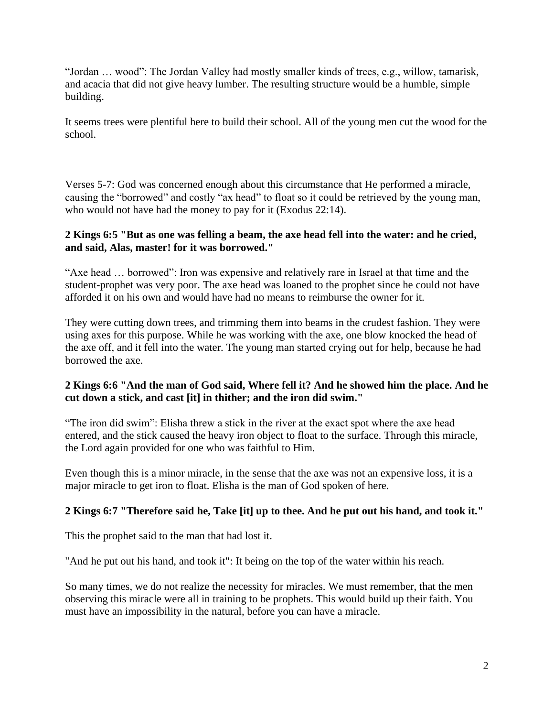"Jordan … wood": The Jordan Valley had mostly smaller kinds of trees, e.g., willow, tamarisk, and acacia that did not give heavy lumber. The resulting structure would be a humble, simple building.

It seems trees were plentiful here to build their school. All of the young men cut the wood for the school.

Verses 5-7: God was concerned enough about this circumstance that He performed a miracle, causing the "borrowed" and costly "ax head" to float so it could be retrieved by the young man, who would not have had the money to pay for it (Exodus 22:14).

# **2 Kings 6:5 "But as one was felling a beam, the axe head fell into the water: and he cried, and said, Alas, master! for it was borrowed."**

"Axe head … borrowed": Iron was expensive and relatively rare in Israel at that time and the student-prophet was very poor. The axe head was loaned to the prophet since he could not have afforded it on his own and would have had no means to reimburse the owner for it.

They were cutting down trees, and trimming them into beams in the crudest fashion. They were using axes for this purpose. While he was working with the axe, one blow knocked the head of the axe off, and it fell into the water. The young man started crying out for help, because he had borrowed the axe.

# **2 Kings 6:6 "And the man of God said, Where fell it? And he showed him the place. And he cut down a stick, and cast [it] in thither; and the iron did swim."**

"The iron did swim": Elisha threw a stick in the river at the exact spot where the axe head entered, and the stick caused the heavy iron object to float to the surface. Through this miracle, the Lord again provided for one who was faithful to Him.

Even though this is a minor miracle, in the sense that the axe was not an expensive loss, it is a major miracle to get iron to float. Elisha is the man of God spoken of here.

# **2 Kings 6:7 "Therefore said he, Take [it] up to thee. And he put out his hand, and took it."**

This the prophet said to the man that had lost it.

"And he put out his hand, and took it": It being on the top of the water within his reach.

So many times, we do not realize the necessity for miracles. We must remember, that the men observing this miracle were all in training to be prophets. This would build up their faith. You must have an impossibility in the natural, before you can have a miracle.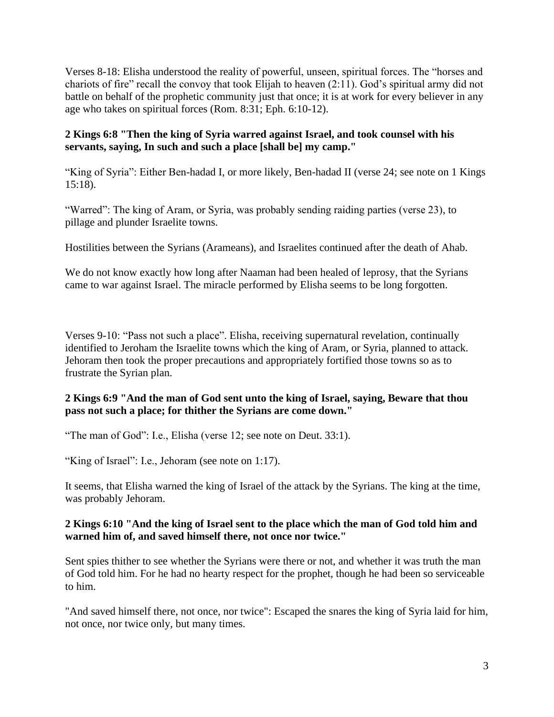Verses 8-18: Elisha understood the reality of powerful, unseen, spiritual forces. The "horses and chariots of fire" recall the convoy that took Elijah to heaven (2:11). God's spiritual army did not battle on behalf of the prophetic community just that once; it is at work for every believer in any age who takes on spiritual forces (Rom. 8:31; Eph. 6:10-12).

# **2 Kings 6:8 "Then the king of Syria warred against Israel, and took counsel with his servants, saying, In such and such a place [shall be] my camp."**

"King of Syria": Either Ben-hadad I, or more likely, Ben-hadad II (verse 24; see note on 1 Kings 15:18).

"Warred": The king of Aram, or Syria, was probably sending raiding parties (verse 23), to pillage and plunder Israelite towns.

Hostilities between the Syrians (Arameans), and Israelites continued after the death of Ahab.

We do not know exactly how long after Naaman had been healed of leprosy, that the Syrians came to war against Israel. The miracle performed by Elisha seems to be long forgotten.

Verses 9-10: "Pass not such a place". Elisha, receiving supernatural revelation, continually identified to Jeroham the Israelite towns which the king of Aram, or Syria, planned to attack. Jehoram then took the proper precautions and appropriately fortified those towns so as to frustrate the Syrian plan.

# **2 Kings 6:9 "And the man of God sent unto the king of Israel, saying, Beware that thou pass not such a place; for thither the Syrians are come down."**

"The man of God": I.e., Elisha (verse 12; see note on Deut. 33:1).

"King of Israel": I.e., Jehoram (see note on 1:17).

It seems, that Elisha warned the king of Israel of the attack by the Syrians. The king at the time, was probably Jehoram.

#### **2 Kings 6:10 "And the king of Israel sent to the place which the man of God told him and warned him of, and saved himself there, not once nor twice."**

Sent spies thither to see whether the Syrians were there or not, and whether it was truth the man of God told him. For he had no hearty respect for the prophet, though he had been so serviceable to him.

"And saved himself there, not once, nor twice": Escaped the snares the king of Syria laid for him, not once, nor twice only, but many times.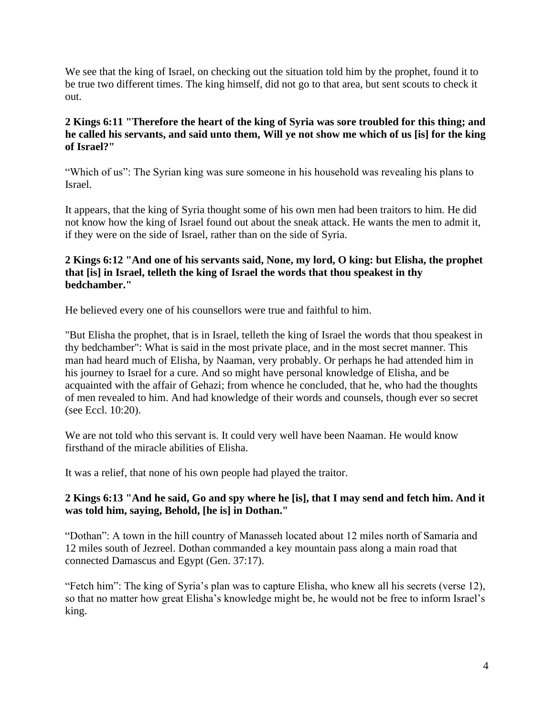We see that the king of Israel, on checking out the situation told him by the prophet, found it to be true two different times. The king himself, did not go to that area, but sent scouts to check it out.

# **2 Kings 6:11 "Therefore the heart of the king of Syria was sore troubled for this thing; and he called his servants, and said unto them, Will ye not show me which of us [is] for the king of Israel?"**

"Which of us": The Syrian king was sure someone in his household was revealing his plans to Israel.

It appears, that the king of Syria thought some of his own men had been traitors to him. He did not know how the king of Israel found out about the sneak attack. He wants the men to admit it, if they were on the side of Israel, rather than on the side of Syria.

# **2 Kings 6:12 "And one of his servants said, None, my lord, O king: but Elisha, the prophet that [is] in Israel, telleth the king of Israel the words that thou speakest in thy bedchamber."**

He believed every one of his counsellors were true and faithful to him.

"But Elisha the prophet, that is in Israel, telleth the king of Israel the words that thou speakest in thy bedchamber": What is said in the most private place, and in the most secret manner. This man had heard much of Elisha, by Naaman, very probably. Or perhaps he had attended him in his journey to Israel for a cure. And so might have personal knowledge of Elisha, and be acquainted with the affair of Gehazi; from whence he concluded, that he, who had the thoughts of men revealed to him. And had knowledge of their words and counsels, though ever so secret (see Eccl. 10:20).

We are not told who this servant is. It could very well have been Naaman. He would know firsthand of the miracle abilities of Elisha.

It was a relief, that none of his own people had played the traitor.

# **2 Kings 6:13 "And he said, Go and spy where he [is], that I may send and fetch him. And it was told him, saying, Behold, [he is] in Dothan."**

"Dothan": A town in the hill country of Manasseh located about 12 miles north of Samaria and 12 miles south of Jezreel. Dothan commanded a key mountain pass along a main road that connected Damascus and Egypt (Gen. 37:17).

"Fetch him": The king of Syria's plan was to capture Elisha, who knew all his secrets (verse 12), so that no matter how great Elisha's knowledge might be, he would not be free to inform Israel's king.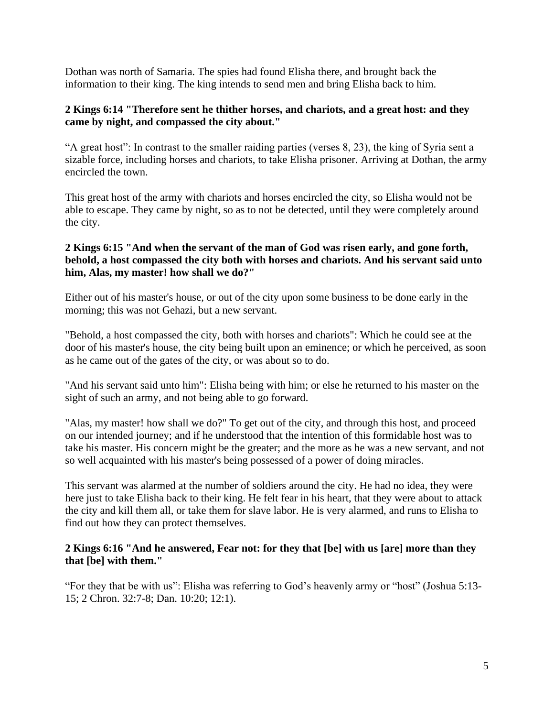Dothan was north of Samaria. The spies had found Elisha there, and brought back the information to their king. The king intends to send men and bring Elisha back to him.

#### **2 Kings 6:14 "Therefore sent he thither horses, and chariots, and a great host: and they came by night, and compassed the city about."**

"A great host": In contrast to the smaller raiding parties (verses 8, 23), the king of Syria sent a sizable force, including horses and chariots, to take Elisha prisoner. Arriving at Dothan, the army encircled the town.

This great host of the army with chariots and horses encircled the city, so Elisha would not be able to escape. They came by night, so as to not be detected, until they were completely around the city.

#### **2 Kings 6:15 "And when the servant of the man of God was risen early, and gone forth, behold, a host compassed the city both with horses and chariots. And his servant said unto him, Alas, my master! how shall we do?"**

Either out of his master's house, or out of the city upon some business to be done early in the morning; this was not Gehazi, but a new servant.

"Behold, a host compassed the city, both with horses and chariots": Which he could see at the door of his master's house, the city being built upon an eminence; or which he perceived, as soon as he came out of the gates of the city, or was about so to do.

"And his servant said unto him": Elisha being with him; or else he returned to his master on the sight of such an army, and not being able to go forward.

"Alas, my master! how shall we do?" To get out of the city, and through this host, and proceed on our intended journey; and if he understood that the intention of this formidable host was to take his master. His concern might be the greater; and the more as he was a new servant, and not so well acquainted with his master's being possessed of a power of doing miracles.

This servant was alarmed at the number of soldiers around the city. He had no idea, they were here just to take Elisha back to their king. He felt fear in his heart, that they were about to attack the city and kill them all, or take them for slave labor. He is very alarmed, and runs to Elisha to find out how they can protect themselves.

#### **2 Kings 6:16 "And he answered, Fear not: for they that [be] with us [are] more than they that [be] with them."**

"For they that be with us": Elisha was referring to God's heavenly army or "host" (Joshua 5:13- 15; 2 Chron. 32:7-8; Dan. 10:20; 12:1).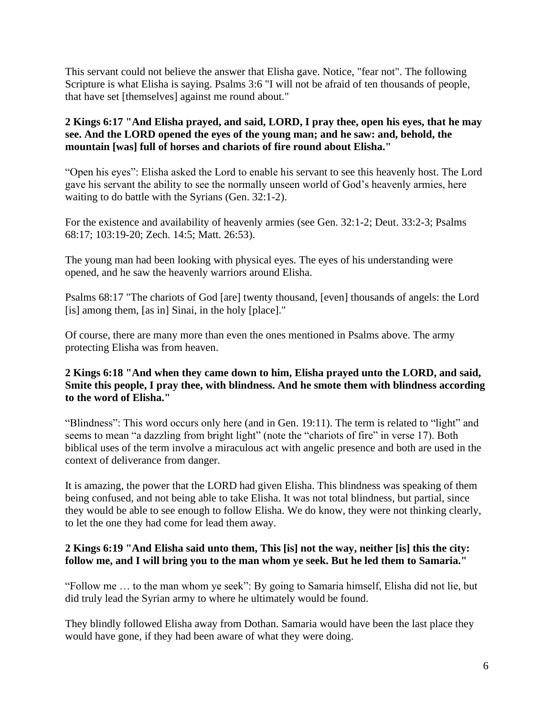This servant could not believe the answer that Elisha gave. Notice, "fear not". The following Scripture is what Elisha is saying. Psalms 3:6 "I will not be afraid of ten thousands of people, that have set [themselves] against me round about."

# **2 Kings 6:17 "And Elisha prayed, and said, LORD, I pray thee, open his eyes, that he may see. And the LORD opened the eyes of the young man; and he saw: and, behold, the mountain [was] full of horses and chariots of fire round about Elisha."**

"Open his eyes": Elisha asked the Lord to enable his servant to see this heavenly host. The Lord gave his servant the ability to see the normally unseen world of God's heavenly armies, here waiting to do battle with the Syrians (Gen. 32:1-2).

For the existence and availability of heavenly armies (see Gen. 32:1-2; Deut. 33:2-3; Psalms 68:17; 103:19-20; Zech. 14:5; Matt. 26:53).

The young man had been looking with physical eyes. The eyes of his understanding were opened, and he saw the heavenly warriors around Elisha.

Psalms 68:17 "The chariots of God [are] twenty thousand, [even] thousands of angels: the Lord [is] among them, [as in] Sinai, in the holy [place]."

Of course, there are many more than even the ones mentioned in Psalms above. The army protecting Elisha was from heaven.

# **2 Kings 6:18 "And when they came down to him, Elisha prayed unto the LORD, and said, Smite this people, I pray thee, with blindness. And he smote them with blindness according to the word of Elisha."**

"Blindness": This word occurs only here (and in Gen. 19:11). The term is related to "light" and seems to mean "a dazzling from bright light" (note the "chariots of fire" in verse 17). Both biblical uses of the term involve a miraculous act with angelic presence and both are used in the context of deliverance from danger.

It is amazing, the power that the LORD had given Elisha. This blindness was speaking of them being confused, and not being able to take Elisha. It was not total blindness, but partial, since they would be able to see enough to follow Elisha. We do know, they were not thinking clearly, to let the one they had come for lead them away.

# **2 Kings 6:19 "And Elisha said unto them, This [is] not the way, neither [is] this the city: follow me, and I will bring you to the man whom ye seek. But he led them to Samaria."**

"Follow me … to the man whom ye seek": By going to Samaria himself, Elisha did not lie, but did truly lead the Syrian army to where he ultimately would be found.

They blindly followed Elisha away from Dothan. Samaria would have been the last place they would have gone, if they had been aware of what they were doing.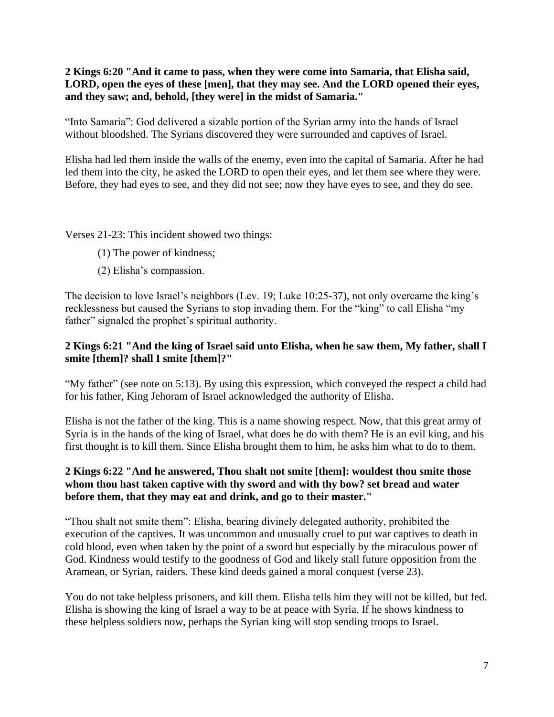**2 Kings 6:20 "And it came to pass, when they were come into Samaria, that Elisha said, LORD, open the eyes of these [men], that they may see. And the LORD opened their eyes, and they saw; and, behold, [they were] in the midst of Samaria."**

"Into Samaria": God delivered a sizable portion of the Syrian army into the hands of Israel without bloodshed. The Syrians discovered they were surrounded and captives of Israel.

Elisha had led them inside the walls of the enemy, even into the capital of Samaria. After he had led them into the city, he asked the LORD to open their eyes, and let them see where they were. Before, they had eyes to see, and they did not see; now they have eyes to see, and they do see.

Verses 21-23: This incident showed two things:

- (1) The power of kindness;
- (2) Elisha's compassion.

The decision to love Israel's neighbors (Lev. 19; Luke 10:25-37), not only overcame the king's recklessness but caused the Syrians to stop invading them. For the "king" to call Elisha "my father" signaled the prophet's spiritual authority.

# **2 Kings 6:21 "And the king of Israel said unto Elisha, when he saw them, My father, shall I smite [them]? shall I smite [them]?"**

"My father" (see note on 5:13). By using this expression, which conveyed the respect a child had for his father, King Jehoram of Israel acknowledged the authority of Elisha.

Elisha is not the father of the king. This is a name showing respect. Now, that this great army of Syria is in the hands of the king of Israel, what does he do with them? He is an evil king, and his first thought is to kill them. Since Elisha brought them to him, he asks him what to do to them.

# **2 Kings 6:22 "And he answered, Thou shalt not smite [them]: wouldest thou smite those whom thou hast taken captive with thy sword and with thy bow? set bread and water before them, that they may eat and drink, and go to their master."**

"Thou shalt not smite them": Elisha, bearing divinely delegated authority, prohibited the execution of the captives. It was uncommon and unusually cruel to put war captives to death in cold blood, even when taken by the point of a sword but especially by the miraculous power of God. Kindness would testify to the goodness of God and likely stall future opposition from the Aramean, or Syrian, raiders. These kind deeds gained a moral conquest (verse 23).

You do not take helpless prisoners, and kill them. Elisha tells him they will not be killed, but fed. Elisha is showing the king of Israel a way to be at peace with Syria. If he shows kindness to these helpless soldiers now, perhaps the Syrian king will stop sending troops to Israel.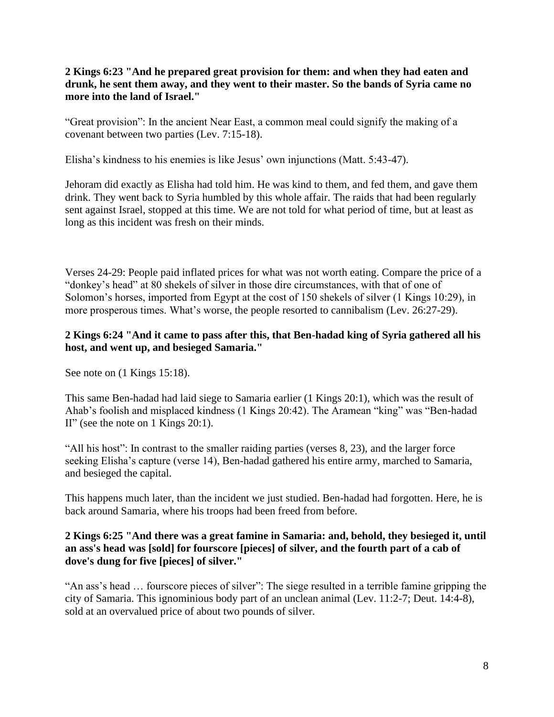**2 Kings 6:23 "And he prepared great provision for them: and when they had eaten and drunk, he sent them away, and they went to their master. So the bands of Syria came no more into the land of Israel."**

"Great provision": In the ancient Near East, a common meal could signify the making of a covenant between two parties (Lev. 7:15-18).

Elisha's kindness to his enemies is like Jesus' own injunctions (Matt. 5:43-47).

Jehoram did exactly as Elisha had told him. He was kind to them, and fed them, and gave them drink. They went back to Syria humbled by this whole affair. The raids that had been regularly sent against Israel, stopped at this time. We are not told for what period of time, but at least as long as this incident was fresh on their minds.

Verses 24-29: People paid inflated prices for what was not worth eating. Compare the price of a "donkey's head" at 80 shekels of silver in those dire circumstances, with that of one of Solomon's horses, imported from Egypt at the cost of 150 shekels of silver (1 Kings 10:29), in more prosperous times. What's worse, the people resorted to cannibalism (Lev. 26:27-29).

#### **2 Kings 6:24 "And it came to pass after this, that Ben-hadad king of Syria gathered all his host, and went up, and besieged Samaria."**

See note on  $(1$  Kings 15:18).

This same Ben-hadad had laid siege to Samaria earlier (1 Kings 20:1), which was the result of Ahab's foolish and misplaced kindness (1 Kings 20:42). The Aramean "king" was "Ben-hadad II" (see the note on 1 Kings 20:1).

"All his host": In contrast to the smaller raiding parties (verses 8, 23), and the larger force seeking Elisha's capture (verse 14), Ben-hadad gathered his entire army, marched to Samaria, and besieged the capital.

This happens much later, than the incident we just studied. Ben-hadad had forgotten. Here, he is back around Samaria, where his troops had been freed from before.

#### **2 Kings 6:25 "And there was a great famine in Samaria: and, behold, they besieged it, until an ass's head was [sold] for fourscore [pieces] of silver, and the fourth part of a cab of dove's dung for five [pieces] of silver."**

"An ass's head … fourscore pieces of silver": The siege resulted in a terrible famine gripping the city of Samaria. This ignominious body part of an unclean animal (Lev. 11:2-7; Deut. 14:4-8), sold at an overvalued price of about two pounds of silver.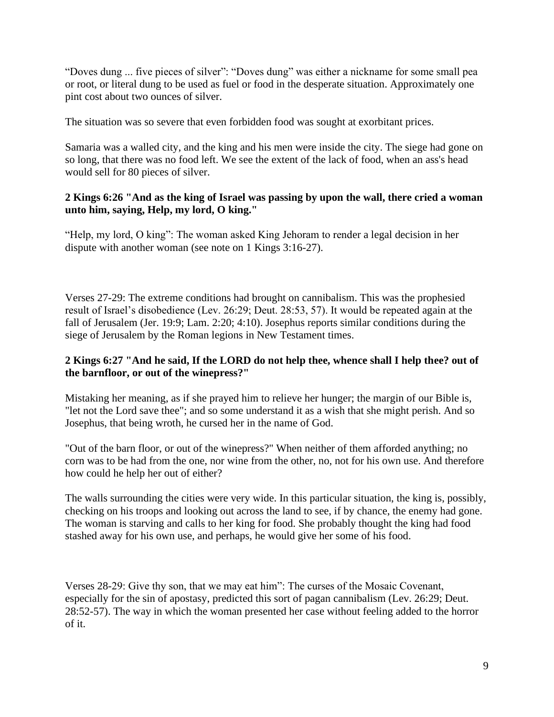"Doves dung ... five pieces of silver": "Doves dung" was either a nickname for some small pea or root, or literal dung to be used as fuel or food in the desperate situation. Approximately one pint cost about two ounces of silver.

The situation was so severe that even forbidden food was sought at exorbitant prices.

Samaria was a walled city, and the king and his men were inside the city. The siege had gone on so long, that there was no food left. We see the extent of the lack of food, when an ass's head would sell for 80 pieces of silver.

#### **2 Kings 6:26 "And as the king of Israel was passing by upon the wall, there cried a woman unto him, saying, Help, my lord, O king."**

"Help, my lord, O king": The woman asked King Jehoram to render a legal decision in her dispute with another woman (see note on 1 Kings 3:16-27).

Verses 27-29: The extreme conditions had brought on cannibalism. This was the prophesied result of Israel's disobedience (Lev. 26:29; Deut. 28:53, 57). It would be repeated again at the fall of Jerusalem (Jer. 19:9; Lam. 2:20; 4:10). Josephus reports similar conditions during the siege of Jerusalem by the Roman legions in New Testament times.

# **2 Kings 6:27 "And he said, If the LORD do not help thee, whence shall I help thee? out of the barnfloor, or out of the winepress?"**

Mistaking her meaning, as if she prayed him to relieve her hunger; the margin of our Bible is, "let not the Lord save thee"; and so some understand it as a wish that she might perish. And so Josephus, that being wroth, he cursed her in the name of God.

"Out of the barn floor, or out of the winepress?" When neither of them afforded anything; no corn was to be had from the one, nor wine from the other, no, not for his own use. And therefore how could he help her out of either?

The walls surrounding the cities were very wide. In this particular situation, the king is, possibly, checking on his troops and looking out across the land to see, if by chance, the enemy had gone. The woman is starving and calls to her king for food. She probably thought the king had food stashed away for his own use, and perhaps, he would give her some of his food.

Verses 28-29: Give thy son, that we may eat him": The curses of the Mosaic Covenant, especially for the sin of apostasy, predicted this sort of pagan cannibalism (Lev. 26:29; Deut. 28:52-57). The way in which the woman presented her case without feeling added to the horror of it.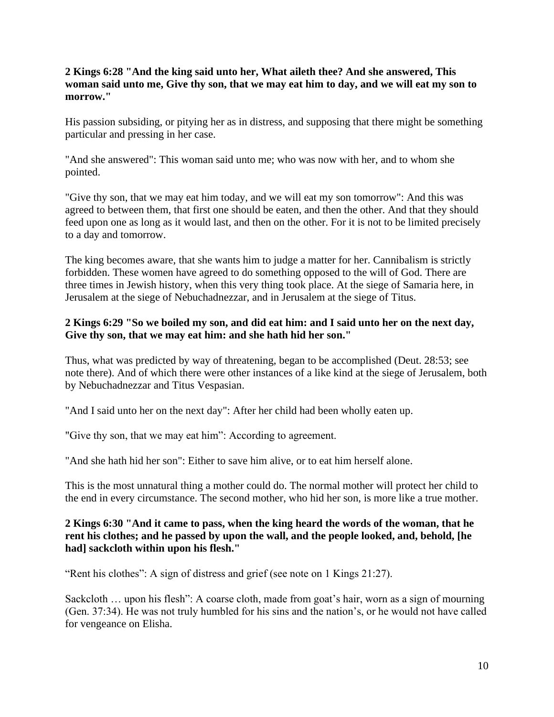#### **2 Kings 6:28 "And the king said unto her, What aileth thee? And she answered, This woman said unto me, Give thy son, that we may eat him to day, and we will eat my son to morrow."**

His passion subsiding, or pitying her as in distress, and supposing that there might be something particular and pressing in her case.

"And she answered": This woman said unto me; who was now with her, and to whom she pointed.

"Give thy son, that we may eat him today, and we will eat my son tomorrow": And this was agreed to between them, that first one should be eaten, and then the other. And that they should feed upon one as long as it would last, and then on the other. For it is not to be limited precisely to a day and tomorrow.

The king becomes aware, that she wants him to judge a matter for her. Cannibalism is strictly forbidden. These women have agreed to do something opposed to the will of God. There are three times in Jewish history, when this very thing took place. At the siege of Samaria here, in Jerusalem at the siege of Nebuchadnezzar, and in Jerusalem at the siege of Titus.

# **2 Kings 6:29 "So we boiled my son, and did eat him: and I said unto her on the next day, Give thy son, that we may eat him: and she hath hid her son."**

Thus, what was predicted by way of threatening, began to be accomplished (Deut. 28:53; see note there). And of which there were other instances of a like kind at the siege of Jerusalem, both by Nebuchadnezzar and Titus Vespasian.

"And I said unto her on the next day": After her child had been wholly eaten up.

"Give thy son, that we may eat him": According to agreement.

"And she hath hid her son": Either to save him alive, or to eat him herself alone.

This is the most unnatural thing a mother could do. The normal mother will protect her child to the end in every circumstance. The second mother, who hid her son, is more like a true mother.

#### **2 Kings 6:30 "And it came to pass, when the king heard the words of the woman, that he rent his clothes; and he passed by upon the wall, and the people looked, and, behold, [he had] sackcloth within upon his flesh."**

"Rent his clothes": A sign of distress and grief (see note on 1 Kings 21:27).

Sackcloth … upon his flesh": A coarse cloth, made from goat's hair, worn as a sign of mourning (Gen. 37:34). He was not truly humbled for his sins and the nation's, or he would not have called for vengeance on Elisha.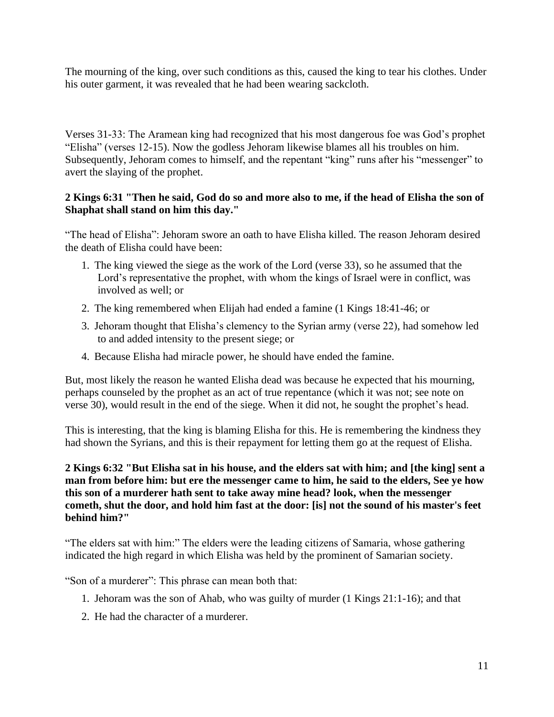The mourning of the king, over such conditions as this, caused the king to tear his clothes. Under his outer garment, it was revealed that he had been wearing sackcloth.

Verses 31-33: The Aramean king had recognized that his most dangerous foe was God's prophet "Elisha" (verses 12-15). Now the godless Jehoram likewise blames all his troubles on him. Subsequently, Jehoram comes to himself, and the repentant "king" runs after his "messenger" to avert the slaying of the prophet.

#### **2 Kings 6:31 "Then he said, God do so and more also to me, if the head of Elisha the son of Shaphat shall stand on him this day."**

"The head of Elisha": Jehoram swore an oath to have Elisha killed. The reason Jehoram desired the death of Elisha could have been:

- 1. The king viewed the siege as the work of the Lord (verse 33), so he assumed that the Lord's representative the prophet, with whom the kings of Israel were in conflict, was involved as well; or
- 2. The king remembered when Elijah had ended a famine (1 Kings 18:41-46; or
- 3. Jehoram thought that Elisha's clemency to the Syrian army (verse 22), had somehow led to and added intensity to the present siege; or
- 4. Because Elisha had miracle power, he should have ended the famine.

But, most likely the reason he wanted Elisha dead was because he expected that his mourning, perhaps counseled by the prophet as an act of true repentance (which it was not; see note on verse 30), would result in the end of the siege. When it did not, he sought the prophet's head.

This is interesting, that the king is blaming Elisha for this. He is remembering the kindness they had shown the Syrians, and this is their repayment for letting them go at the request of Elisha.

#### **2 Kings 6:32 "But Elisha sat in his house, and the elders sat with him; and [the king] sent a man from before him: but ere the messenger came to him, he said to the elders, See ye how this son of a murderer hath sent to take away mine head? look, when the messenger cometh, shut the door, and hold him fast at the door: [is] not the sound of his master's feet behind him?"**

"The elders sat with him:" The elders were the leading citizens of Samaria, whose gathering indicated the high regard in which Elisha was held by the prominent of Samarian society.

"Son of a murderer": This phrase can mean both that:

- 1. Jehoram was the son of Ahab, who was guilty of murder (1 Kings 21:1-16); and that
- 2. He had the character of a murderer.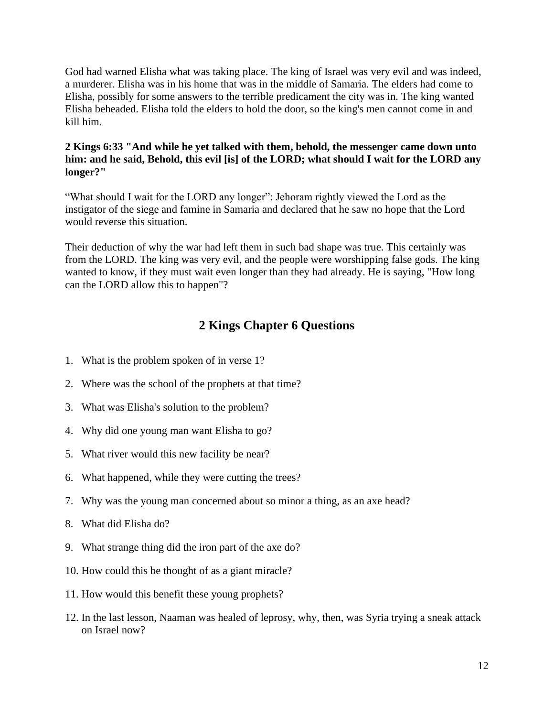God had warned Elisha what was taking place. The king of Israel was very evil and was indeed, a murderer. Elisha was in his home that was in the middle of Samaria. The elders had come to Elisha, possibly for some answers to the terrible predicament the city was in. The king wanted Elisha beheaded. Elisha told the elders to hold the door, so the king's men cannot come in and kill him.

#### **2 Kings 6:33 "And while he yet talked with them, behold, the messenger came down unto him: and he said, Behold, this evil [is] of the LORD; what should I wait for the LORD any longer?"**

"What should I wait for the LORD any longer": Jehoram rightly viewed the Lord as the instigator of the siege and famine in Samaria and declared that he saw no hope that the Lord would reverse this situation.

Their deduction of why the war had left them in such bad shape was true. This certainly was from the LORD. The king was very evil, and the people were worshipping false gods. The king wanted to know, if they must wait even longer than they had already. He is saying, "How long can the LORD allow this to happen"?

# **2 Kings Chapter 6 Questions**

- 1. What is the problem spoken of in verse 1?
- 2. Where was the school of the prophets at that time?
- 3. What was Elisha's solution to the problem?
- 4. Why did one young man want Elisha to go?
- 5. What river would this new facility be near?
- 6. What happened, while they were cutting the trees?
- 7. Why was the young man concerned about so minor a thing, as an axe head?
- 8. What did Elisha do?
- 9. What strange thing did the iron part of the axe do?
- 10. How could this be thought of as a giant miracle?
- 11. How would this benefit these young prophets?
- 12. In the last lesson, Naaman was healed of leprosy, why, then, was Syria trying a sneak attack on Israel now?